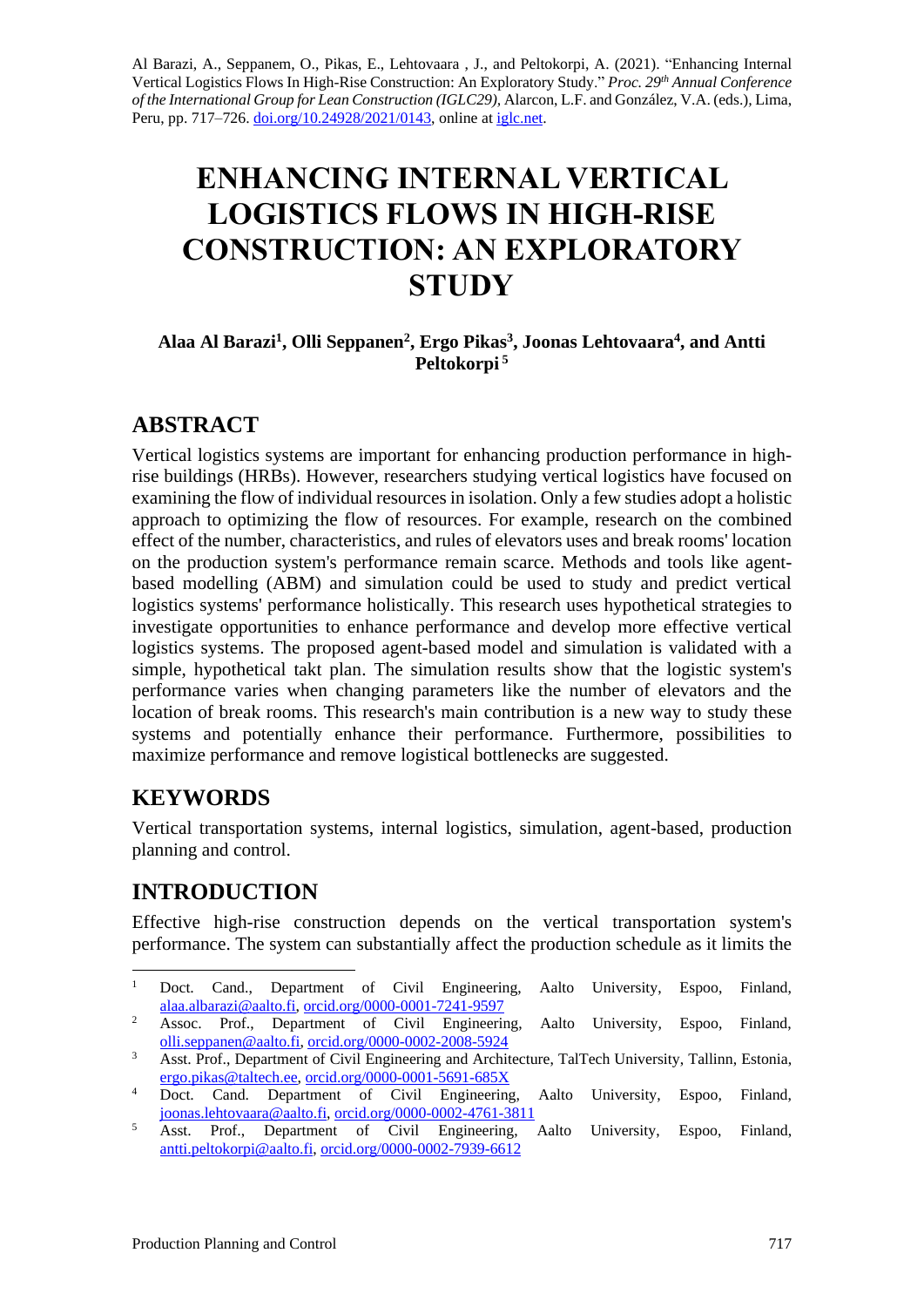Al Barazi, A., Seppanem, O., Pikas, E., Lehtovaara , J., and Peltokorpi, A. (2021). "Enhancing Internal Vertical Logistics Flows In High-Rise Construction: An Exploratory Study." *Proc. 29th Annual Conference of the International Group for Lean Construction (IGLC29),* Alarcon, L.F. and González, V.A. (eds.)*,* Lima, Peru, pp. 717–726. [doi.org/10.24928/2021/0143,](http://doi.org/10.24928/2021/0143) online at [iglc.net.](http://iglc.net/)

# **ENHANCING INTERNAL VERTICAL LOGISTICS FLOWS IN HIGH-RISE CONSTRUCTION: AN EXPLORATORY STUDY**

#### **Alaa Al Barazi<sup>1</sup> , Olli Seppanen<sup>2</sup> , Ergo Pikas<sup>3</sup> , Joonas Lehtovaara<sup>4</sup> , and Antti Peltokorpi <sup>5</sup>**

## **ABSTRACT**

Vertical logistics systems are important for enhancing production performance in highrise buildings (HRBs). However, researchers studying vertical logistics have focused on examining the flow of individual resources in isolation. Only a few studies adopt a holistic approach to optimizing the flow of resources. For example, research on the combined effect of the number, characteristics, and rules of elevators uses and break rooms' location on the production system's performance remain scarce. Methods and tools like agentbased modelling (ABM) and simulation could be used to study and predict vertical logistics systems' performance holistically. This research uses hypothetical strategies to investigate opportunities to enhance performance and develop more effective vertical logistics systems. The proposed agent-based model and simulation is validated with a simple, hypothetical takt plan. The simulation results show that the logistic system's performance varies when changing parameters like the number of elevators and the location of break rooms. This research's main contribution is a new way to study these systems and potentially enhance their performance. Furthermore, possibilities to maximize performance and remove logistical bottlenecks are suggested.

## **KEYWORDS**

Vertical transportation systems, internal logistics, simulation, agent-based, production planning and control.

## **INTRODUCTION**

Effective high-rise construction depends on the vertical transportation system's performance. The system can substantially affect the production schedule as it limits the

<sup>&</sup>lt;sup>1</sup> Doct. Cand., Department of Civil Engineering, Aalto University, Espoo, Finland, [alaa.albarazi@aalto.fi,](mailto:alaa.albarazi@aalto.fi) [orcid.org/0000-0001-7241-9597](https://orcid.org/0000-0001-7241-9597)

<sup>&</sup>lt;sup>2</sup> Assoc. Prof., Department of Civil Engineering, Aalto University, Espoo, Finland, [olli.seppanen@aalto.fi,](mailto:olli.seppanen@aalto.fi) [orcid.org/0000-0002-2008-5924](https://orcid.org/0000-0002-2008-5924)

<sup>&</sup>lt;sup>3</sup> Asst. Prof., Department of Civil Engineering and Architecture, TalTech University, Tallinn, Estonia, [ergo.pikas@taltech.ee,](mailto:ergo.pikas@taltech.ee) [orcid.org/0000-0001-5691-685X](https://orcid.org/0000-0001-5691-685X)

<sup>&</sup>lt;sup>4</sup> Doct. Cand. Department of Civil Engineering, Aalto University, Espoo, Finland, [joonas.lehtovaara@aalto.fi,](mailto:joonas.lehtovaara@aalto.fi) [orcid.org/0000-0002-4761-3811](https://orcid.org/0000-0002-4761-3811)

<sup>&</sup>lt;sup>5</sup> Asst. Prof., Department of Civil Engineering, Aalto University, Espoo, Finland, [antti.peltokorpi@aalto.fi,](mailto:antti.peltokorpi@aalto.fi) [orcid.org/0000-0002-7939-6612](https://orcid.org/0000-0002-7939-6612)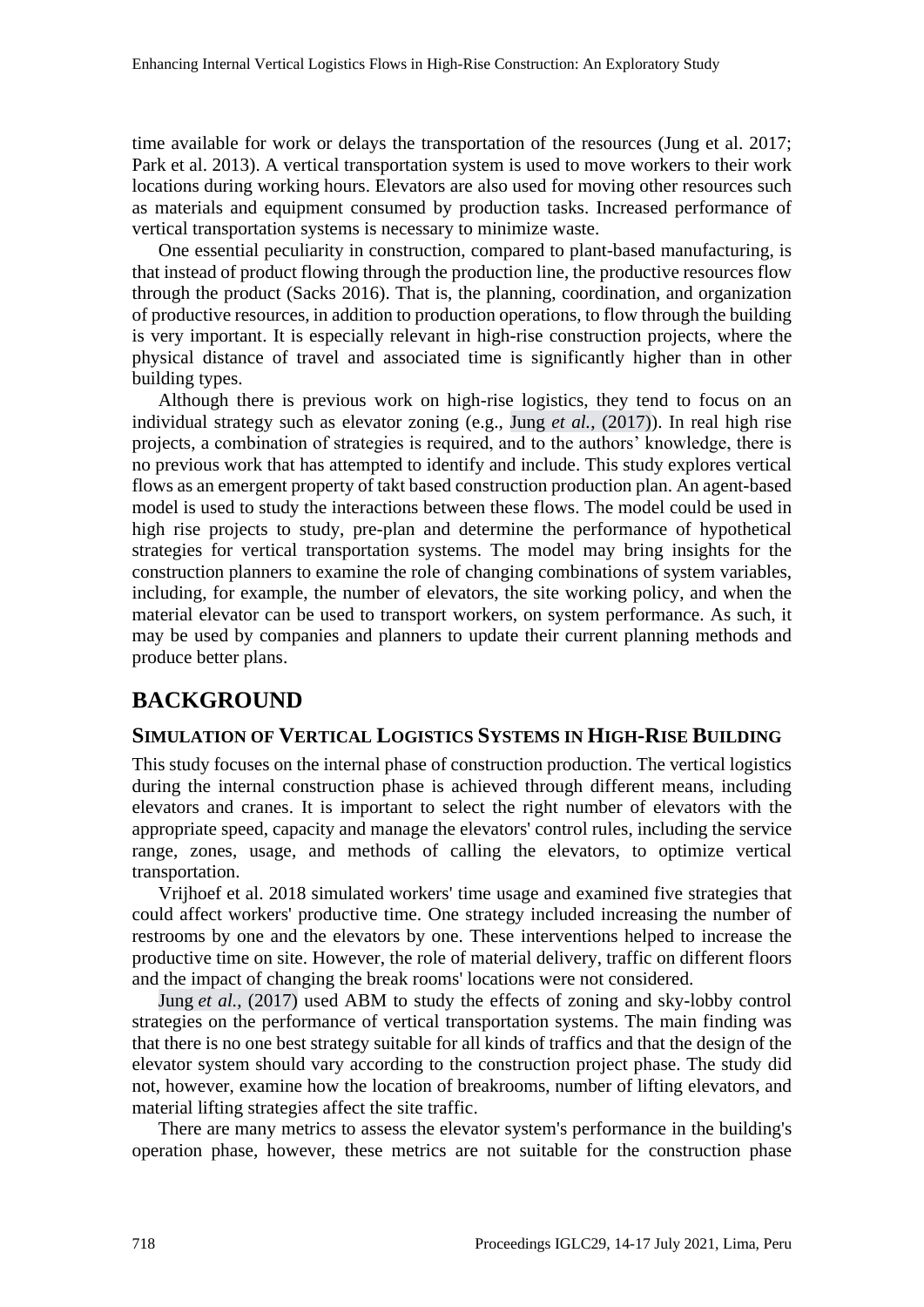time available for work or delays the transportation of the resources (Jung et al. 2017; Park et al. 2013). A vertical transportation system is used to move workers to their work locations during working hours. Elevators are also used for moving other resources such as materials and equipment consumed by production tasks. Increased performance of vertical transportation systems is necessary to minimize waste.

One essential peculiarity in construction, compared to plant-based manufacturing, is that instead of product flowing through the production line, the productive resources flow through the product (Sacks 2016). That is, the planning, coordination, and organization of productive resources, in addition to production operations, to flow through the building is very important. It is especially relevant in high-rise construction projects, where the physical distance of travel and associated time is significantly higher than in other building types.

Although there is previous work on high-rise logistics, they tend to focus on an individual strategy such as elevator zoning (e.g., Jung *et al.*, (2017)). In real high rise projects, a combination of strategies is required, and to the authors' knowledge, there is no previous work that has attempted to identify and include. This study explores vertical flows as an emergent property of takt based construction production plan. An agent-based model is used to study the interactions between these flows. The model could be used in high rise projects to study, pre-plan and determine the performance of hypothetical strategies for vertical transportation systems. The model may bring insights for the construction planners to examine the role of changing combinations of system variables, including, for example, the number of elevators, the site working policy, and when the material elevator can be used to transport workers, on system performance. As such, it may be used by companies and planners to update their current planning methods and produce better plans.

## **BACKGROUND**

#### **SIMULATION OF VERTICAL LOGISTICS SYSTEMS IN HIGH-RISE BUILDING**

This study focuses on the internal phase of construction production. The vertical logistics during the internal construction phase is achieved through different means, including elevators and cranes. It is important to select the right number of elevators with the appropriate speed, capacity and manage the elevators' control rules, including the service range, zones, usage, and methods of calling the elevators, to optimize vertical transportation.

Vrijhoef et al. 2018 simulated workers' time usage and examined five strategies that could affect workers' productive time. One strategy included increasing the number of restrooms by one and the elevators by one. These interventions helped to increase the productive time on site. However, the role of material delivery, traffic on different floors and the impact of changing the break rooms' locations were not considered.

Jung *et al.*, (2017) used ABM to study the effects of zoning and sky-lobby control strategies on the performance of vertical transportation systems. The main finding was that there is no one best strategy suitable for all kinds of traffics and that the design of the elevator system should vary according to the construction project phase. The study did not, however, examine how the location of breakrooms, number of lifting elevators, and material lifting strategies affect the site traffic.

There are many metrics to assess the elevator system's performance in the building's operation phase, however, these metrics are not suitable for the construction phase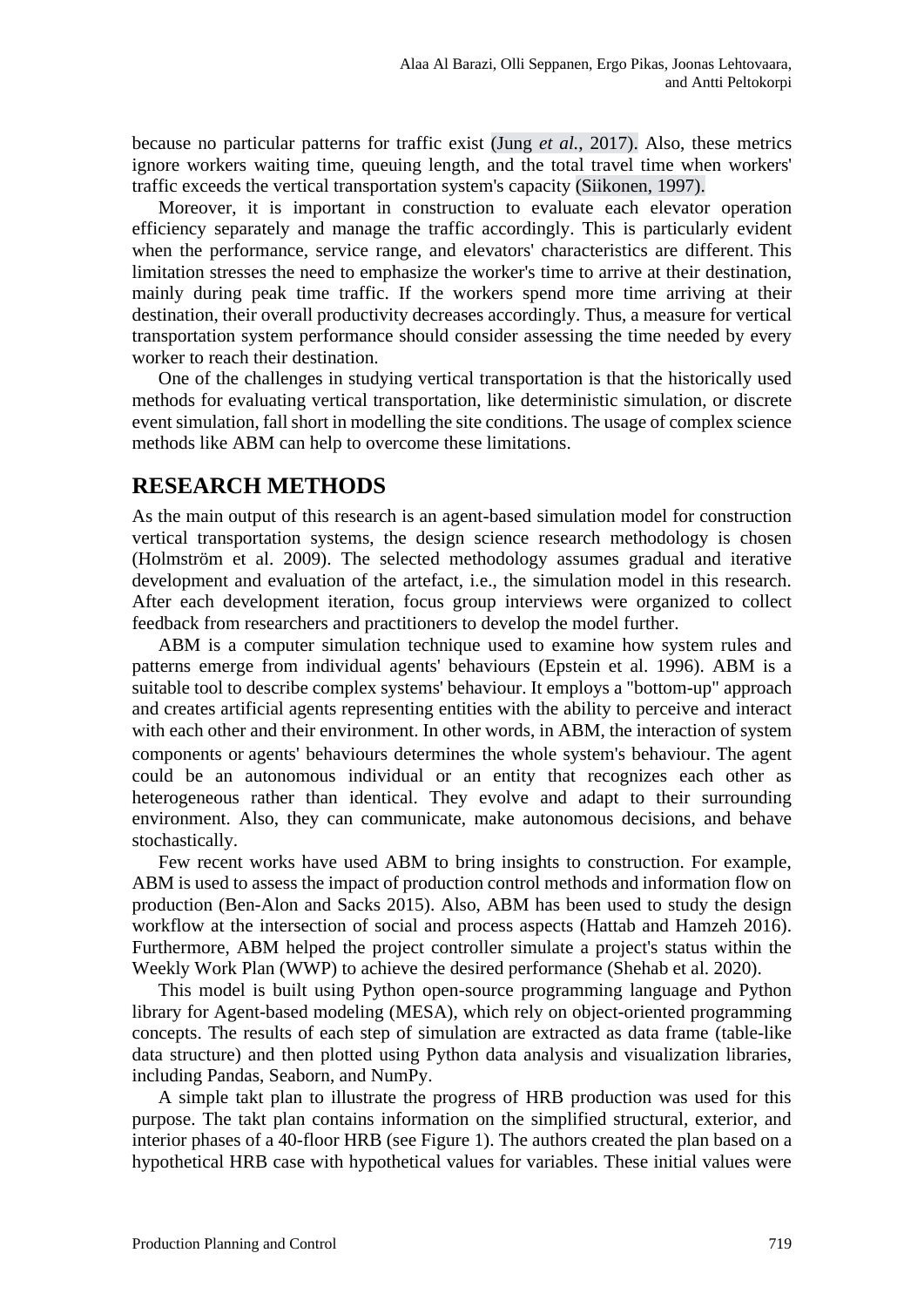because no particular patterns for traffic exist (Jung *et al.*, 2017). Also, these metrics ignore workers waiting time, queuing length, and the total travel time when workers' traffic exceeds the vertical transportation system's capacity (Siikonen, 1997).

Moreover, it is important in construction to evaluate each elevator operation efficiency separately and manage the traffic accordingly. This is particularly evident when the performance, service range, and elevators' characteristics are different. This limitation stresses the need to emphasize the worker's time to arrive at their destination, mainly during peak time traffic. If the workers spend more time arriving at their destination, their overall productivity decreases accordingly. Thus, a measure for vertical transportation system performance should consider assessing the time needed by every worker to reach their destination.

One of the challenges in studying vertical transportation is that the historically used methods for evaluating vertical transportation, like deterministic simulation, or discrete event simulation, fall short in modelling the site conditions. The usage of complex science methods like ABM can help to overcome these limitations.

### **RESEARCH METHODS**

As the main output of this research is an agent-based simulation model for construction vertical transportation systems, the design science research methodology is chosen (Holmström et al. 2009). The selected methodology assumes gradual and iterative development and evaluation of the artefact, i.e., the simulation model in this research. After each development iteration, focus group interviews were organized to collect feedback from researchers and practitioners to develop the model further.

ABM is a computer simulation technique used to examine how system rules and patterns emerge from individual agents' behaviours (Epstein et al. 1996). ABM is a suitable tool to describe complex systems' behaviour. It employs a "bottom-up" approach and creates artificial agents representing entities with the ability to perceive and interact with each other and their environment. In other words, in ABM, the interaction of system components or agents' behaviours determines the whole system's behaviour. The agent could be an autonomous individual or an entity that recognizes each other as heterogeneous rather than identical. They evolve and adapt to their surrounding environment. Also, they can communicate, make autonomous decisions, and behave stochastically.

Few recent works have used ABM to bring insights to construction. For example, ABM is used to assess the impact of production control methods and information flow on production (Ben-Alon and Sacks 2015). Also, ABM has been used to study the design workflow at the intersection of social and process aspects (Hattab and Hamzeh 2016). Furthermore, ABM helped the project controller simulate a project's status within the Weekly Work Plan (WWP) to achieve the desired performance (Shehab et al. 2020).

This model is built using Python open-source programming language and Python library for Agent-based modeling (MESA), which rely on object-oriented programming concepts. The results of each step of simulation are extracted as data frame (table-like data structure) and then plotted using Python data analysis and visualization libraries, including Pandas, Seaborn, and NumPy.

A simple takt plan to illustrate the progress of HRB production was used for this purpose. The takt plan contains information on the simplified structural, exterior, and interior phases of a 40-floor HRB (see Figure 1). The authors created the plan based on a hypothetical HRB case with hypothetical values for variables. These initial values were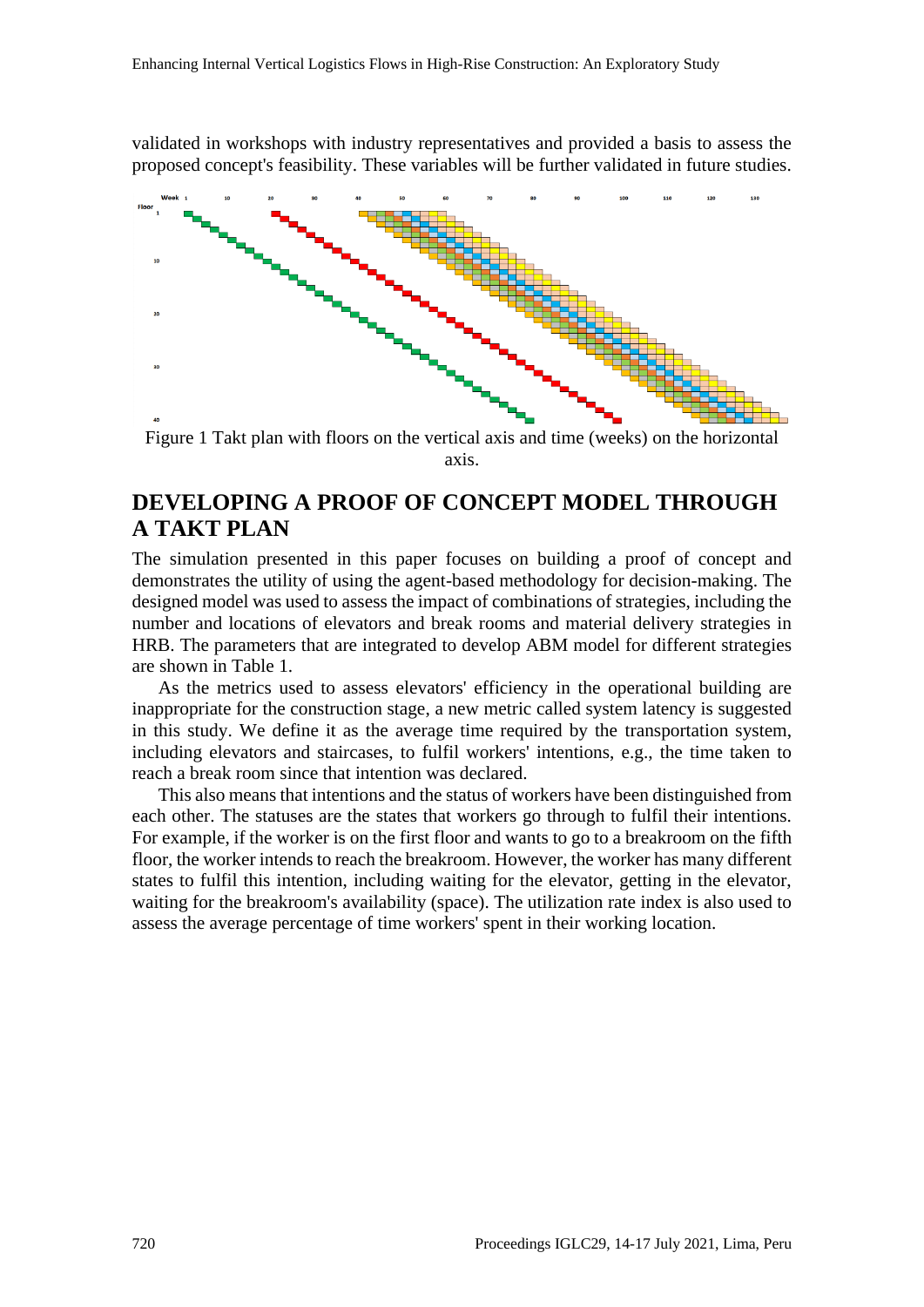validated in workshops with industry representatives and provided a basis to assess the proposed concept's feasibility. These variables will be further validated in future studies.



Figure 1 Takt plan with floors on the vertical axis and time (weeks) on the horizontal axis.

## **DEVELOPING A PROOF OF CONCEPT MODEL THROUGH A TAKT PLAN**

The simulation presented in this paper focuses on building a proof of concept and demonstrates the utility of using the agent-based methodology for decision-making. The designed model was used to assess the impact of combinations of strategies, including the number and locations of elevators and break rooms and material delivery strategies in HRB. The parameters that are integrated to develop ABM model for different strategies are shown in Table 1.

As the metrics used to assess elevators' efficiency in the operational building are inappropriate for the construction stage, a new metric called system latency is suggested in this study. We define it as the average time required by the transportation system, including elevators and staircases, to fulfil workers' intentions, e.g., the time taken to reach a break room since that intention was declared.

This also means that intentions and the status of workers have been distinguished from each other. The statuses are the states that workers go through to fulfil their intentions. For example, if the worker is on the first floor and wants to go to a breakroom on the fifth floor, the worker intends to reach the breakroom. However, the worker has many different states to fulfil this intention, including waiting for the elevator, getting in the elevator, waiting for the breakroom's availability (space). The utilization rate index is also used to assess the average percentage of time workers' spent in their working location.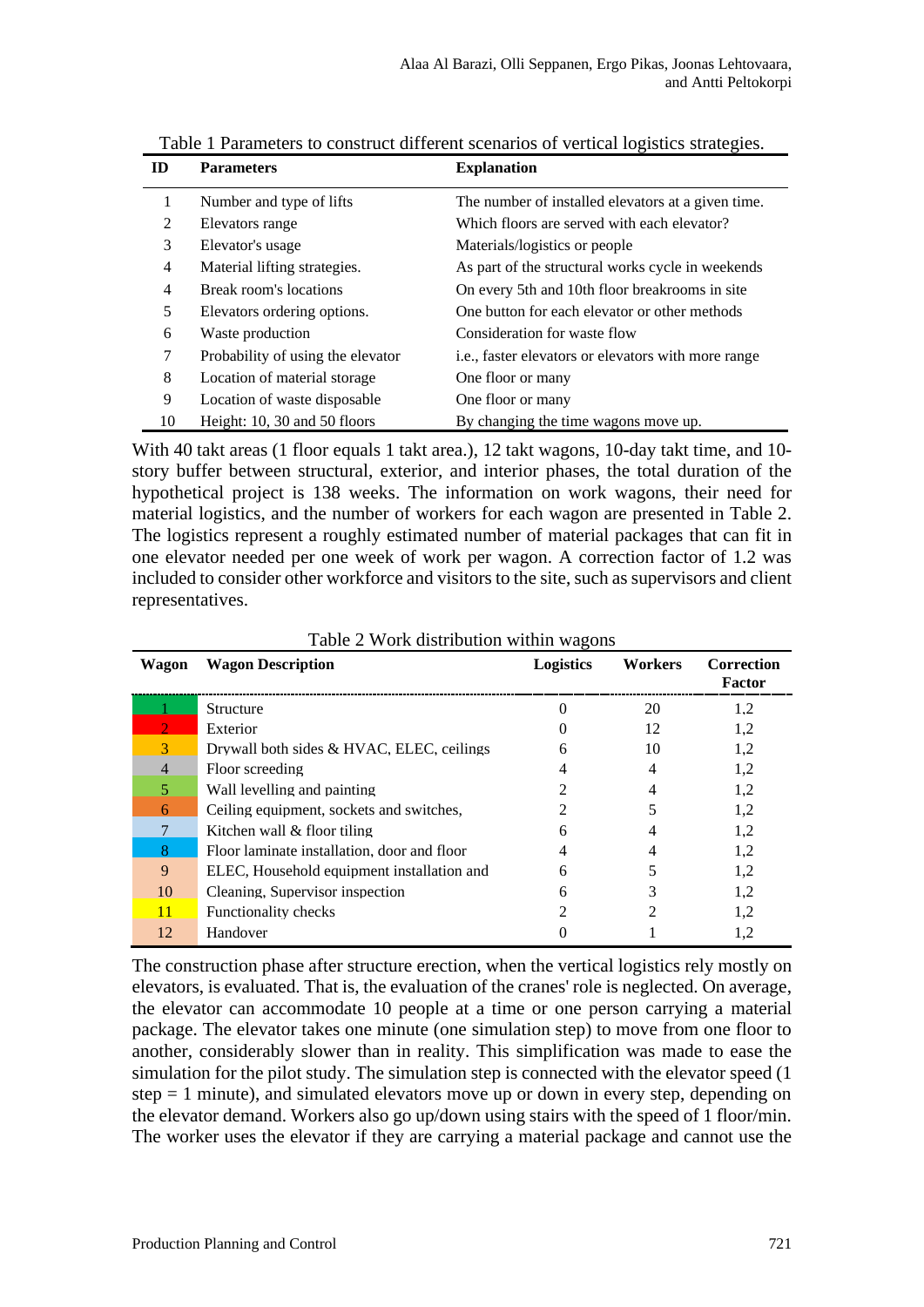| ID             | <b>Parameters</b>                 | <b>Explanation</b>                                          |
|----------------|-----------------------------------|-------------------------------------------------------------|
|                | Number and type of lifts          | The number of installed elevators at a given time.          |
| 2              | Elevators range                   | Which floors are served with each elevator?                 |
| 3              | Elevator's usage                  | Materials/logistics or people                               |
| $\overline{4}$ | Material lifting strategies.      | As part of the structural works cycle in weekends           |
| $\overline{4}$ | Break room's locations            | On every 5th and 10th floor breakrooms in site              |
| 5              | Elevators ordering options.       | One button for each elevator or other methods               |
| 6              | Waste production                  | Consideration for waste flow                                |
| 7              | Probability of using the elevator | <i>i.e.</i> , faster elevators or elevators with more range |
| 8              | Location of material storage      | One floor or many                                           |
| 9              | Location of waste disposable      | One floor or many                                           |
| 10             | Height: $10, 30$ and $50$ floors  | By changing the time wagons move up.                        |

Table 1 Parameters to construct different scenarios of vertical logistics strategies.

With 40 takt areas (1 floor equals 1 takt area.), 12 takt wagons, 10-day takt time, and 10 story buffer between structural, exterior, and interior phases, the total duration of the hypothetical project is 138 weeks. The information on work wagons, their need for material logistics, and the number of workers for each wagon are presented in Table 2. The logistics represent a roughly estimated number of material packages that can fit in one elevator needed per one week of work per wagon. A correction factor of 1.2 was included to consider other workforce and visitors to the site, such as supervisors and client representatives.

| Wagon          | <b>Wagon Description</b>                    | <b>Logistics</b> | Workers | <b>Correction</b><br>Factor |
|----------------|---------------------------------------------|------------------|---------|-----------------------------|
|                | Structure                                   |                  | 20      | 1.2                         |
|                | Exterior                                    |                  | 12      | 1.2                         |
|                | Drywall both sides & HVAC, ELEC, ceilings   | 6                | 10      | 1.2                         |
| $\overline{4}$ | Floor screeding                             |                  | 4       | 1.2                         |
| 5              | Wall levelling and painting                 |                  | 4       | 1,2                         |
| 6              | Ceiling equipment, sockets and switches,    |                  |         | 1,2                         |
|                | Kitchen wall & floor tiling                 | 6                | 4       | 1,2                         |
|                | Floor laminate installation, door and floor |                  |         | 1,2                         |
| 9              | ELEC, Household equipment installation and  | 6                |         | 1.2                         |
| 10             | Cleaning, Supervisor inspection             | 6                |         | 1,2                         |
| 11             | <b>Functionality checks</b>                 |                  |         | 1.2                         |
| 12             | Handover                                    |                  |         |                             |

Table 2 Work distribution within wagons

The construction phase after structure erection, when the vertical logistics rely mostly on elevators, is evaluated. That is, the evaluation of the cranes' role is neglected. On average, the elevator can accommodate 10 people at a time or one person carrying a material package. The elevator takes one minute (one simulation step) to move from one floor to another, considerably slower than in reality. This simplification was made to ease the simulation for the pilot study. The simulation step is connected with the elevator speed (1  $step = 1$  minute), and simulated elevators move up or down in every step, depending on the elevator demand. Workers also go up/down using stairs with the speed of 1 floor/min. The worker uses the elevator if they are carrying a material package and cannot use the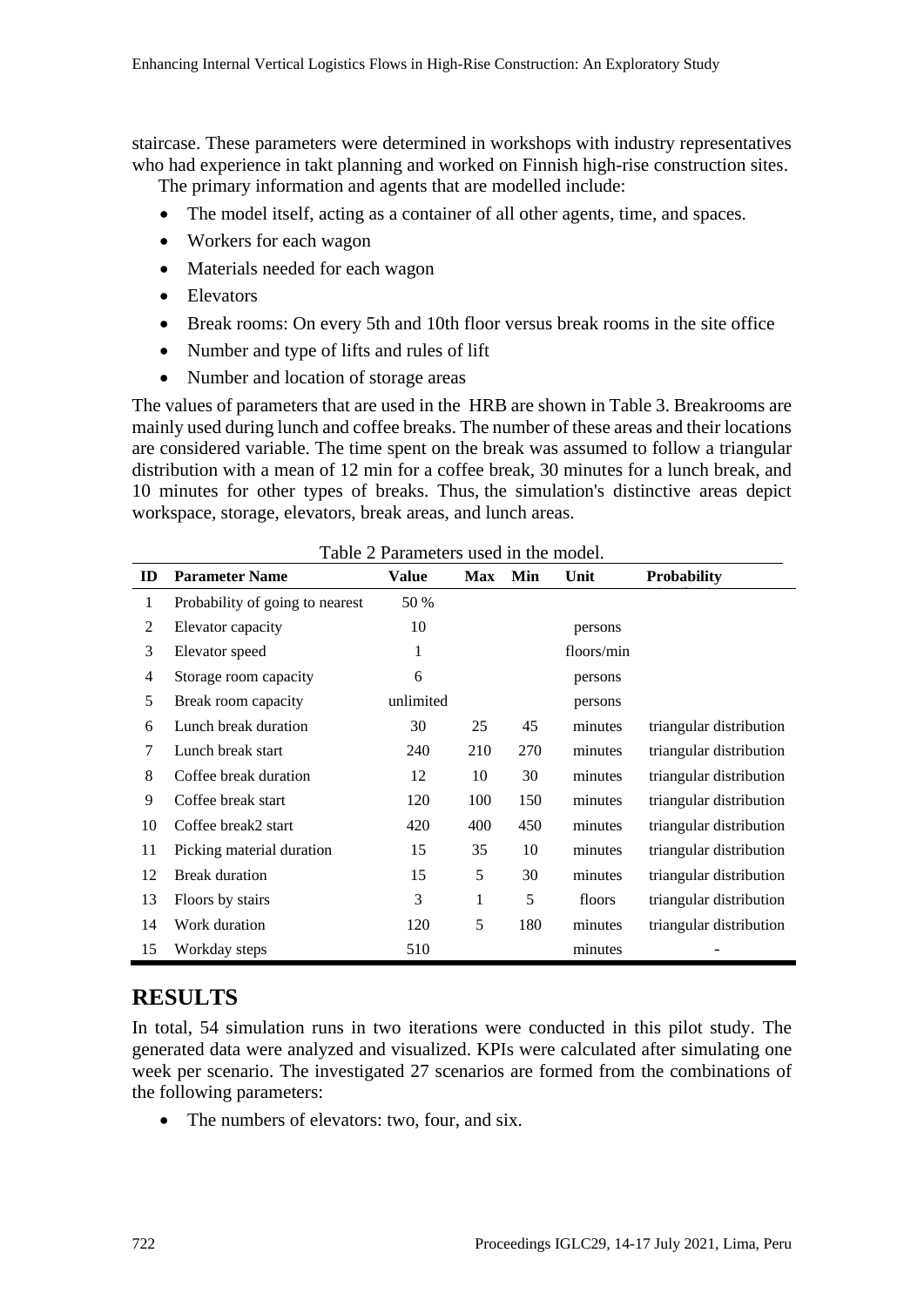staircase. These parameters were determined in workshops with industry representatives who had experience in takt planning and worked on Finnish high-rise construction sites.

The primary information and agents that are modelled include:

- The model itself, acting as a container of all other agents, time, and spaces.
- Workers for each wagon
- Materials needed for each wagon
- Elevators
- Break rooms: On every 5th and 10th floor versus break rooms in the site office
- Number and type of lifts and rules of lift
- Number and location of storage areas

The values of parameters that are used in the HRB are shown in Table 3. Breakrooms are mainly used during lunch and coffee breaks. The number of these areas and their locations are considered variable. The time spent on the break was assumed to follow a triangular distribution with a mean of 12 min for a coffee break, 30 minutes for a lunch break, and 10 minutes for other types of breaks. Thus, the simulation's distinctive areas depict workspace, storage, elevators, break areas, and lunch areas.

| $1400C \ge 141411C(C)$ s useu in the model. |                                 |           |            |     |            |                         |  |  |  |  |  |
|---------------------------------------------|---------------------------------|-----------|------------|-----|------------|-------------------------|--|--|--|--|--|
| ID                                          | <b>Parameter Name</b>           | Value     | <b>Max</b> | Min | Unit       | <b>Probability</b>      |  |  |  |  |  |
| 1                                           | Probability of going to nearest | 50 %      |            |     |            |                         |  |  |  |  |  |
| 2                                           | Elevator capacity               | 10        |            |     | persons    |                         |  |  |  |  |  |
| 3                                           | Elevator speed                  | 1         |            |     | floors/min |                         |  |  |  |  |  |
| 4                                           | Storage room capacity           | 6         |            |     | persons    |                         |  |  |  |  |  |
| 5                                           | Break room capacity             | unlimited |            |     | persons    |                         |  |  |  |  |  |
| 6                                           | Lunch break duration            | 30        | 25         | 45  | minutes    | triangular distribution |  |  |  |  |  |
| 7                                           | Lunch break start               | 240       | 210        | 270 | minutes    | triangular distribution |  |  |  |  |  |
| 8                                           | Coffee break duration           | 12        | 10         | 30  | minutes    | triangular distribution |  |  |  |  |  |
| 9                                           | Coffee break start              | 120       | 100        | 150 | minutes    | triangular distribution |  |  |  |  |  |
| 10                                          | Coffee break2 start             | 420       | 400        | 450 | minutes    | triangular distribution |  |  |  |  |  |
| 11                                          | Picking material duration       | 15        | 35         | 10  | minutes    | triangular distribution |  |  |  |  |  |
| 12                                          | <b>Break duration</b>           | 15        | 5          | 30  | minutes    | triangular distribution |  |  |  |  |  |
| 13                                          | Floors by stairs                | 3         | 1          | 5   | floors     | triangular distribution |  |  |  |  |  |
| 14                                          | Work duration                   | 120       | 5          | 180 | minutes    | triangular distribution |  |  |  |  |  |
| 15                                          | Workday steps                   | 510       |            |     | minutes    |                         |  |  |  |  |  |

#### Table 2 Parameters used in the model.

### **RESULTS**

In total, 54 simulation runs in two iterations were conducted in this pilot study. The generated data were analyzed and visualized. KPIs were calculated after simulating one week per scenario. The investigated 27 scenarios are formed from the combinations of the following parameters:

• The numbers of elevators: two, four, and six.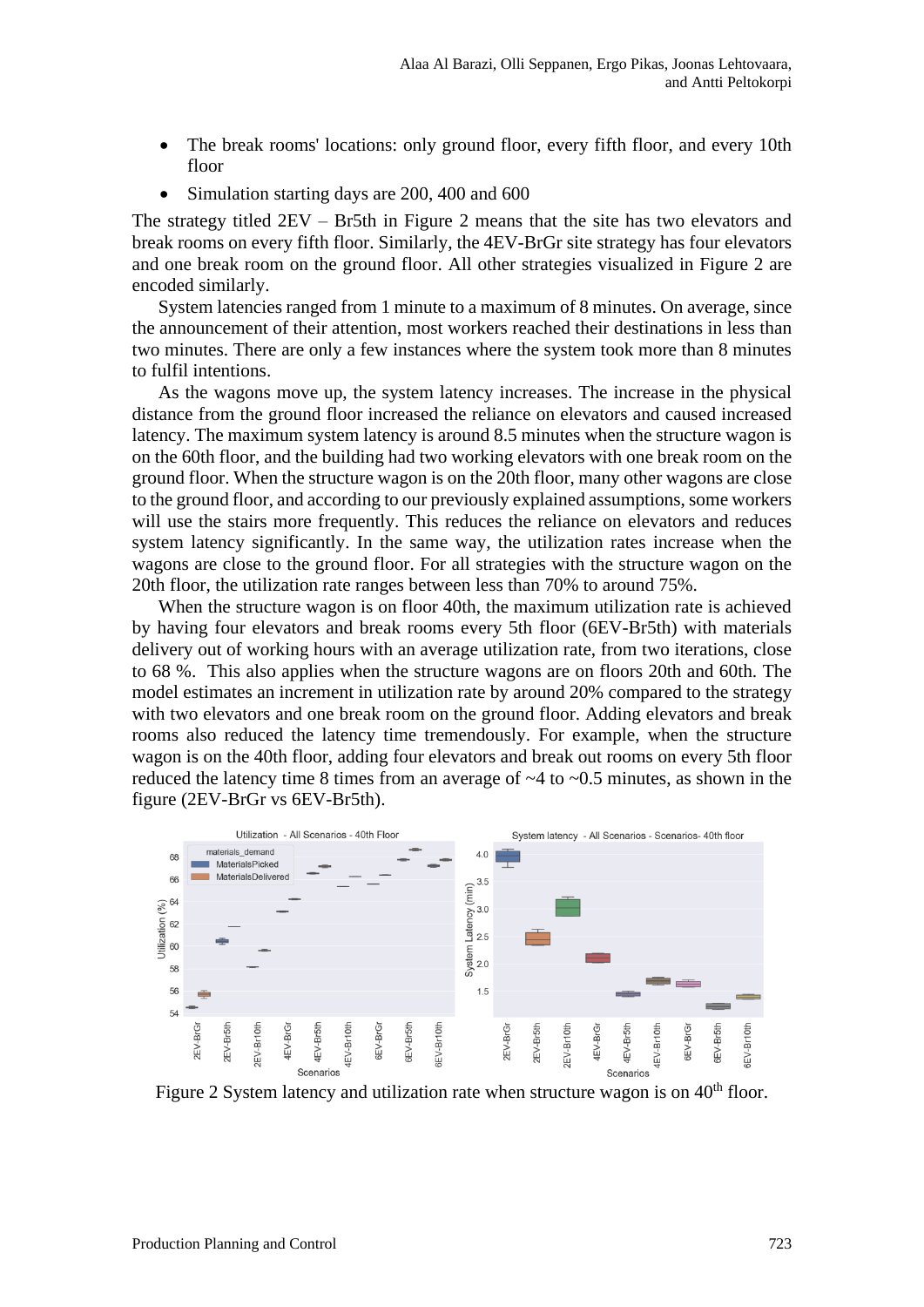- The break rooms' locations: only ground floor, every fifth floor, and every 10th floor
- Simulation starting days are 200, 400 and 600

The strategy titled 2EV – Br5th in Figure 2 means that the site has two elevators and break rooms on every fifth floor. Similarly, the 4EV-BrGr site strategy has four elevators and one break room on the ground floor. All other strategies visualized in Figure 2 are encoded similarly.

System latencies ranged from 1 minute to a maximum of 8 minutes. On average, since the announcement of their attention, most workers reached their destinations in less than two minutes. There are only a few instances where the system took more than 8 minutes to fulfil intentions.

As the wagons move up, the system latency increases. The increase in the physical distance from the ground floor increased the reliance on elevators and caused increased latency. The maximum system latency is around 8.5 minutes when the structure wagon is on the 60th floor, and the building had two working elevators with one break room on the ground floor. When the structure wagon is on the 20th floor, many other wagons are close to the ground floor, and according to our previously explained assumptions, some workers will use the stairs more frequently. This reduces the reliance on elevators and reduces system latency significantly. In the same way, the utilization rates increase when the wagons are close to the ground floor. For all strategies with the structure wagon on the 20th floor, the utilization rate ranges between less than 70% to around 75%.

When the structure wagon is on floor 40th, the maximum utilization rate is achieved by having four elevators and break rooms every 5th floor (6EV-Br5th) with materials delivery out of working hours with an average utilization rate, from two iterations, close to 68 %. This also applies when the structure wagons are on floors 20th and 60th. The model estimates an increment in utilization rate by around 20% compared to the strategy with two elevators and one break room on the ground floor. Adding elevators and break rooms also reduced the latency time tremendously. For example, when the structure wagon is on the 40th floor, adding four elevators and break out rooms on every 5th floor reduced the latency time 8 times from an average of ~4 to ~0.5 minutes, as shown in the figure (2EV-BrGr vs 6EV-Br5th).



Figure 2 System latency and utilization rate when structure wagon is on  $40<sup>th</sup>$  floor.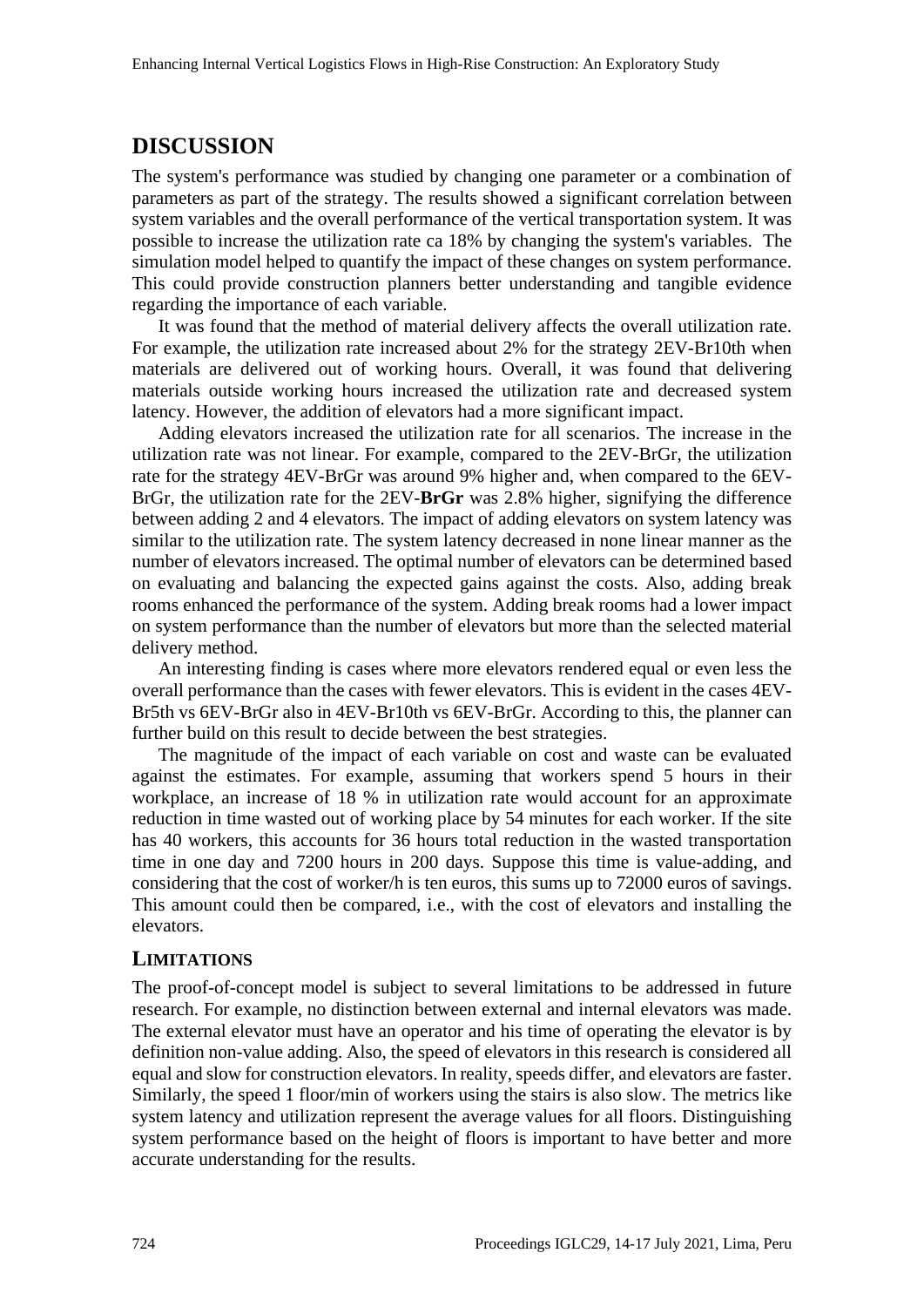## **DISCUSSION**

The system's performance was studied by changing one parameter or a combination of parameters as part of the strategy. The results showed a significant correlation between system variables and the overall performance of the vertical transportation system. It was possible to increase the utilization rate ca 18% by changing the system's variables. The simulation model helped to quantify the impact of these changes on system performance. This could provide construction planners better understanding and tangible evidence regarding the importance of each variable.

It was found that the method of material delivery affects the overall utilization rate. For example, the utilization rate increased about 2% for the strategy 2EV-Br10th when materials are delivered out of working hours. Overall, it was found that delivering materials outside working hours increased the utilization rate and decreased system latency. However, the addition of elevators had a more significant impact.

Adding elevators increased the utilization rate for all scenarios. The increase in the utilization rate was not linear. For example, compared to the 2EV-BrGr, the utilization rate for the strategy 4EV-BrGr was around 9% higher and, when compared to the 6EV-BrGr, the utilization rate for the 2EV-**BrGr** was 2.8% higher, signifying the difference between adding 2 and 4 elevators. The impact of adding elevators on system latency was similar to the utilization rate. The system latency decreased in none linear manner as the number of elevators increased. The optimal number of elevators can be determined based on evaluating and balancing the expected gains against the costs. Also, adding break rooms enhanced the performance of the system. Adding break rooms had a lower impact on system performance than the number of elevators but more than the selected material delivery method.

An interesting finding is cases where more elevators rendered equal or even less the overall performance than the cases with fewer elevators. This is evident in the cases 4EV-Br5th vs 6EV-BrGr also in 4EV-Br10th vs 6EV-BrGr. According to this, the planner can further build on this result to decide between the best strategies.

The magnitude of the impact of each variable on cost and waste can be evaluated against the estimates. For example, assuming that workers spend 5 hours in their workplace, an increase of 18 % in utilization rate would account for an approximate reduction in time wasted out of working place by 54 minutes for each worker. If the site has 40 workers, this accounts for 36 hours total reduction in the wasted transportation time in one day and 7200 hours in 200 days. Suppose this time is value-adding, and considering that the cost of worker/h is ten euros, this sums up to 72000 euros of savings. This amount could then be compared, i.e., with the cost of elevators and installing the elevators.

#### **LIMITATIONS**

The proof-of-concept model is subject to several limitations to be addressed in future research. For example, no distinction between external and internal elevators was made. The external elevator must have an operator and his time of operating the elevator is by definition non-value adding. Also, the speed of elevators in this research is considered all equal and slow for construction elevators. In reality, speeds differ, and elevators are faster. Similarly, the speed 1 floor/min of workers using the stairs is also slow. The metrics like system latency and utilization represent the average values for all floors. Distinguishing system performance based on the height of floors is important to have better and more accurate understanding for the results.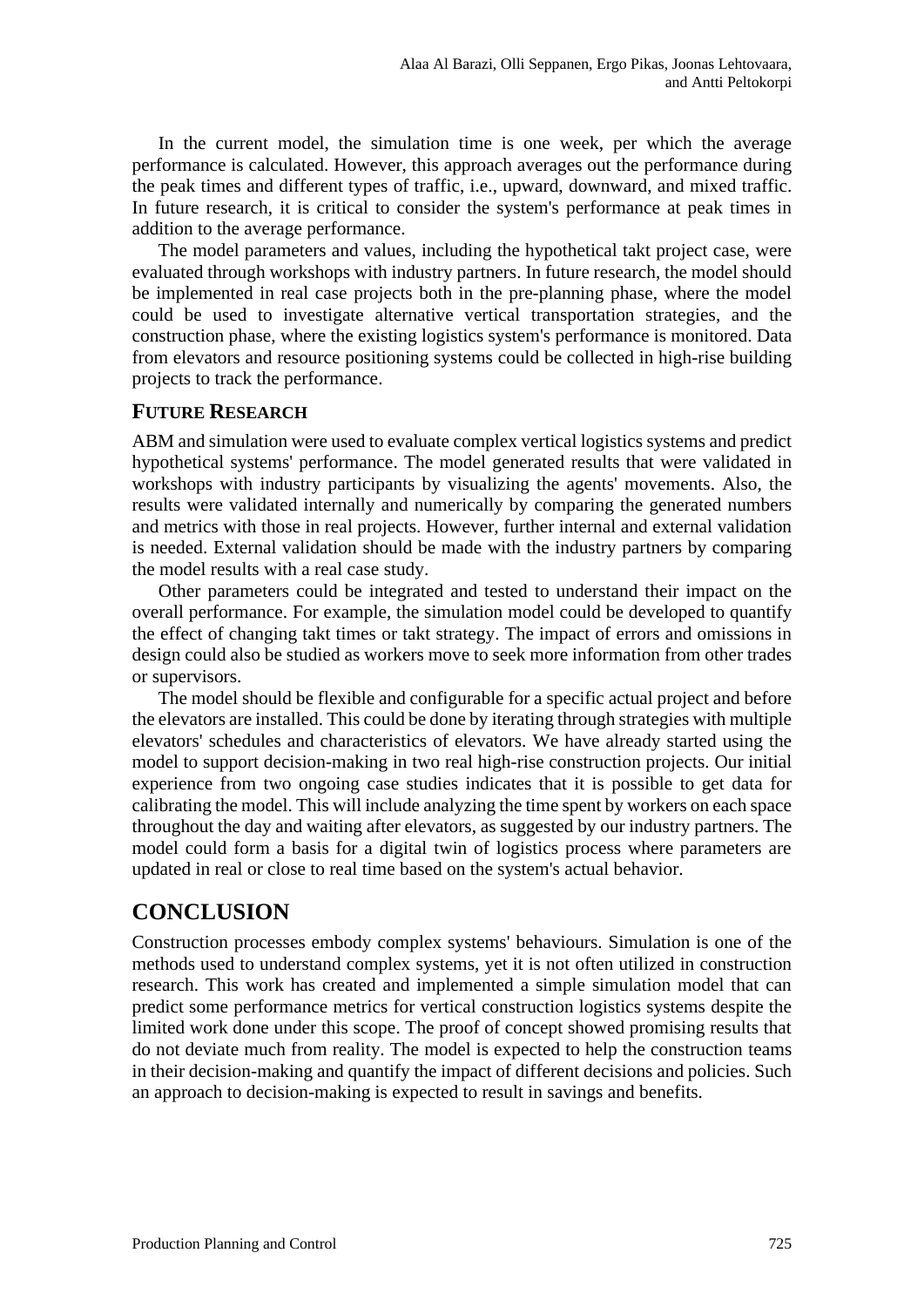In the current model, the simulation time is one week, per which the average performance is calculated. However, this approach averages out the performance during the peak times and different types of traffic, i.e., upward, downward, and mixed traffic. In future research, it is critical to consider the system's performance at peak times in addition to the average performance.

The model parameters and values, including the hypothetical takt project case, were evaluated through workshops with industry partners. In future research, the model should be implemented in real case projects both in the pre-planning phase, where the model could be used to investigate alternative vertical transportation strategies, and the construction phase, where the existing logistics system's performance is monitored. Data from elevators and resource positioning systems could be collected in high-rise building projects to track the performance.

#### **FUTURE RESEARCH**

ABM and simulation were used to evaluate complex vertical logistics systems and predict hypothetical systems' performance. The model generated results that were validated in workshops with industry participants by visualizing the agents' movements. Also, the results were validated internally and numerically by comparing the generated numbers and metrics with those in real projects. However, further internal and external validation is needed. External validation should be made with the industry partners by comparing the model results with a real case study.

Other parameters could be integrated and tested to understand their impact on the overall performance. For example, the simulation model could be developed to quantify the effect of changing takt times or takt strategy. The impact of errors and omissions in design could also be studied as workers move to seek more information from other trades or supervisors.

The model should be flexible and configurable for a specific actual project and before the elevators are installed. This could be done by iterating through strategies with multiple elevators' schedules and characteristics of elevators. We have already started using the model to support decision-making in two real high-rise construction projects. Our initial experience from two ongoing case studies indicates that it is possible to get data for calibrating the model. This will include analyzing the time spent by workers on each space throughout the day and waiting after elevators, as suggested by our industry partners. The model could form a basis for a digital twin of logistics process where parameters are updated in real or close to real time based on the system's actual behavior.

## **CONCLUSION**

Construction processes embody complex systems' behaviours. Simulation is one of the methods used to understand complex systems, yet it is not often utilized in construction research. This work has created and implemented a simple simulation model that can predict some performance metrics for vertical construction logistics systems despite the limited work done under this scope. The proof of concept showed promising results that do not deviate much from reality. The model is expected to help the construction teams in their decision-making and quantify the impact of different decisions and policies. Such an approach to decision-making is expected to result in savings and benefits.